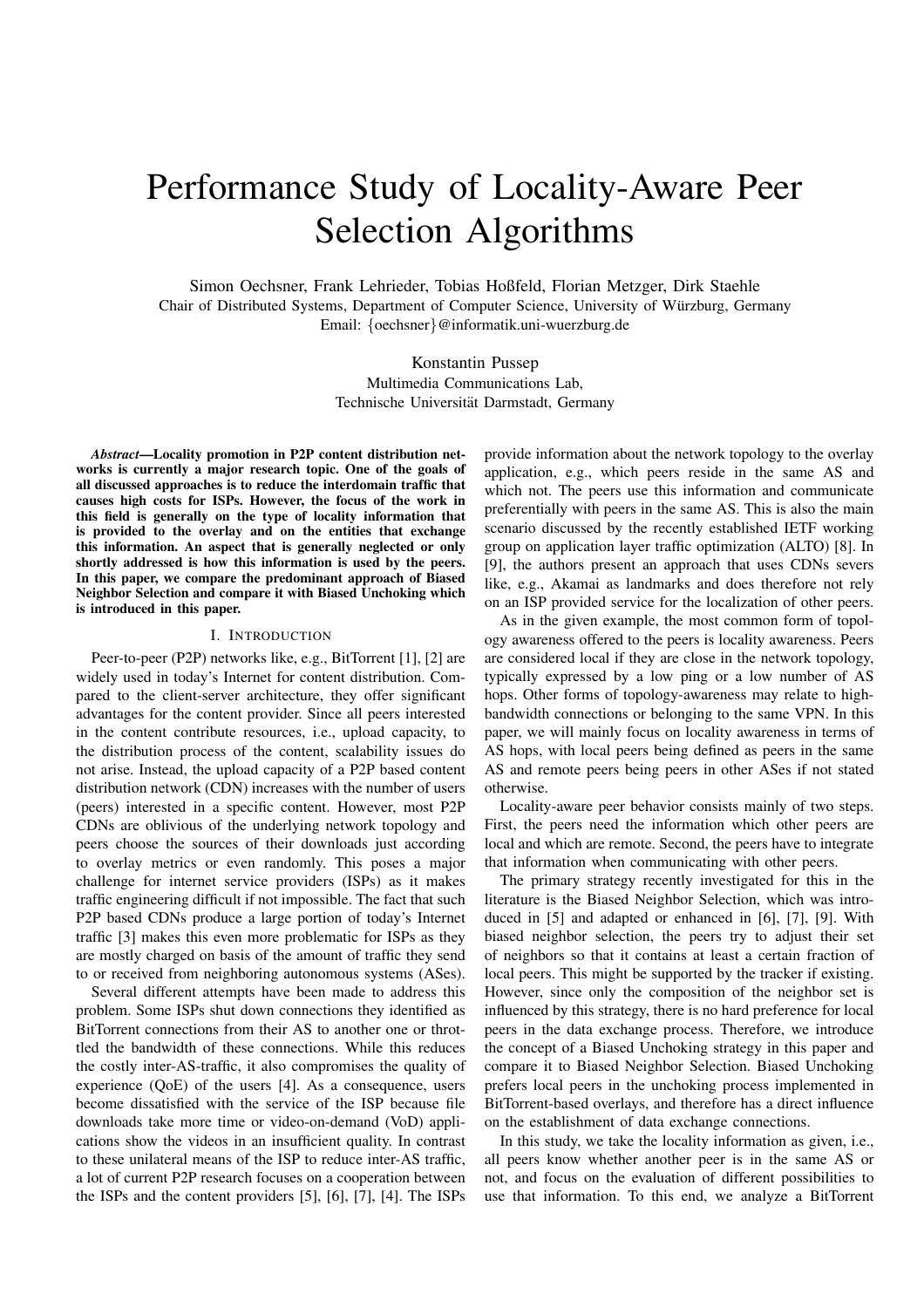# Performance Study of Locality-Aware Peer Selection Algorithms

Simon Oechsner, Frank Lehrieder, Tobias Hoßfeld, Florian Metzger, Dirk Staehle

Chair of Distributed Systems, Department of Computer Science, University of Würzburg, Germany Email: {oechsner}@informatik.uni-wuerzburg.de

> Konstantin Pussep Multimedia Communications Lab, Technische Universität Darmstadt, Germany

*Abstract***—Locality promotion in P2P content distribution networks is currently a major research topic. One of the goals of all discussed approaches is to reduce the interdomain traffic that causes high costs for ISPs. However, the focus of the work in this field is generally on the type of locality information that is provided to the overlay and on the entities that exchange this information. An aspect that is generally neglected or only shortly addressed is how this information is used by the peers. In this paper, we compare the predominant approach of Biased Neighbor Selection and compare it with Biased Unchoking which is introduced in this paper.**

#### I. INTRODUCTION

Peer-to-peer (P2P) networks like, e.g., BitTorrent [1], [2] are widely used in today's Internet for content distribution. Compared to the client-server architecture, they offer significant advantages for the content provider. Since all peers interested in the content contribute resources, i.e., upload capacity, to the distribution process of the content, scalability issues do not arise. Instead, the upload capacity of a P2P based content distribution network (CDN) increases with the number of users (peers) interested in a specific content. However, most P2P CDNs are oblivious of the underlying network topology and peers choose the sources of their downloads just according to overlay metrics or even randomly. This poses a major challenge for internet service providers (ISPs) as it makes traffic engineering difficult if not impossible. The fact that such P2P based CDNs produce a large portion of today's Internet traffic [3] makes this even more problematic for ISPs as they are mostly charged on basis of the amount of traffic they send to or received from neighboring autonomous systems (ASes).

Several different attempts have been made to address this problem. Some ISPs shut down connections they identified as BitTorrent connections from their AS to another one or throttled the bandwidth of these connections. While this reduces the costly inter-AS-traffic, it also compromises the quality of experience (QoE) of the users [4]. As a consequence, users become dissatisfied with the service of the ISP because file downloads take more time or video-on-demand (VoD) applications show the videos in an insufficient quality. In contrast to these unilateral means of the ISP to reduce inter-AS traffic, a lot of current P2P research focuses on a cooperation between the ISPs and the content providers [5], [6], [7], [4]. The ISPs

provide information about the network topology to the overlay application, e.g., which peers reside in the same AS and which not. The peers use this information and communicate preferentially with peers in the same AS. This is also the main scenario discussed by the recently established IETF working group on application layer traffic optimization (ALTO) [8]. In [9], the authors present an approach that uses CDNs severs like, e.g., Akamai as landmarks and does therefore not rely on an ISP provided service for the localization of other peers.

As in the given example, the most common form of topology awareness offered to the peers is locality awareness. Peers are considered local if they are close in the network topology, typically expressed by a low ping or a low number of AS hops. Other forms of topology-awareness may relate to highbandwidth connections or belonging to the same VPN. In this paper, we will mainly focus on locality awareness in terms of AS hops, with local peers being defined as peers in the same AS and remote peers being peers in other ASes if not stated otherwise.

Locality-aware peer behavior consists mainly of two steps. First, the peers need the information which other peers are local and which are remote. Second, the peers have to integrate that information when communicating with other peers.

The primary strategy recently investigated for this in the literature is the Biased Neighbor Selection, which was introduced in [5] and adapted or enhanced in [6], [7], [9]. With biased neighbor selection, the peers try to adjust their set of neighbors so that it contains at least a certain fraction of local peers. This might be supported by the tracker if existing. However, since only the composition of the neighbor set is influenced by this strategy, there is no hard preference for local peers in the data exchange process. Therefore, we introduce the concept of a Biased Unchoking strategy in this paper and compare it to Biased Neighbor Selection. Biased Unchoking prefers local peers in the unchoking process implemented in BitTorrent-based overlays, and therefore has a direct influence on the establishment of data exchange connections.

In this study, we take the locality information as given, i.e., all peers know whether another peer is in the same AS or not, and focus on the evaluation of different possibilities to use that information. To this end, we analyze a BitTorrent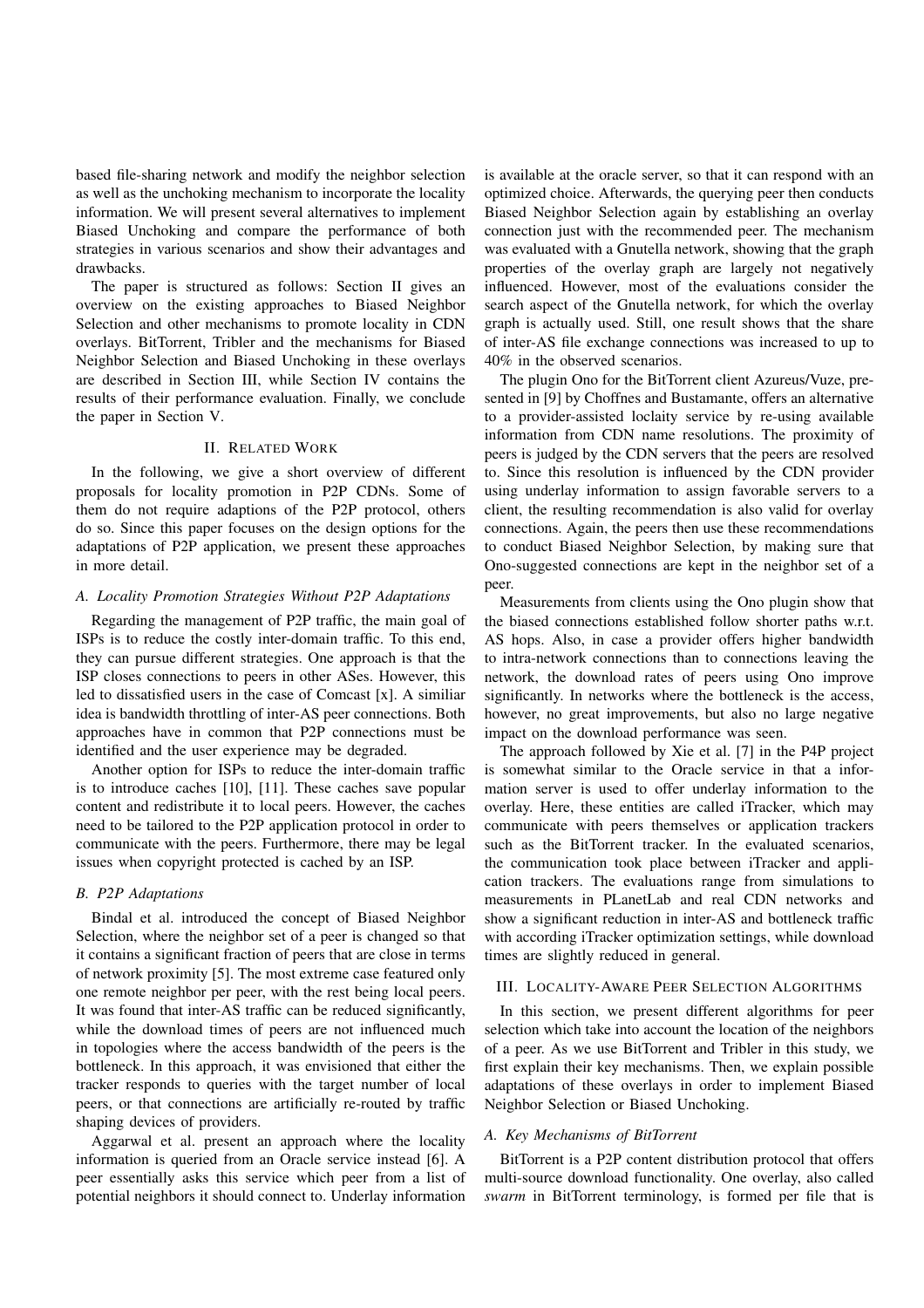based file-sharing network and modify the neighbor selection as well as the unchoking mechanism to incorporate the locality information. We will present several alternatives to implement Biased Unchoking and compare the performance of both strategies in various scenarios and show their advantages and drawbacks.

The paper is structured as follows: Section II gives an overview on the existing approaches to Biased Neighbor Selection and other mechanisms to promote locality in CDN overlays. BitTorrent, Tribler and the mechanisms for Biased Neighbor Selection and Biased Unchoking in these overlays are described in Section III, while Section IV contains the results of their performance evaluation. Finally, we conclude the paper in Section V.

## II. RELATED WORK

In the following, we give a short overview of different proposals for locality promotion in P2P CDNs. Some of them do not require adaptions of the P2P protocol, others do so. Since this paper focuses on the design options for the adaptations of P2P application, we present these approaches in more detail.

## *A. Locality Promotion Strategies Without P2P Adaptations*

Regarding the management of P2P traffic, the main goal of ISPs is to reduce the costly inter-domain traffic. To this end, they can pursue different strategies. One approach is that the ISP closes connections to peers in other ASes. However, this led to dissatisfied users in the case of Comcast [x]. A similiar idea is bandwidth throttling of inter-AS peer connections. Both approaches have in common that P2P connections must be identified and the user experience may be degraded.

Another option for ISPs to reduce the inter-domain traffic is to introduce caches [10], [11]. These caches save popular content and redistribute it to local peers. However, the caches need to be tailored to the P2P application protocol in order to communicate with the peers. Furthermore, there may be legal issues when copyright protected is cached by an ISP.

### *B. P2P Adaptations*

Bindal et al. introduced the concept of Biased Neighbor Selection, where the neighbor set of a peer is changed so that it contains a significant fraction of peers that are close in terms of network proximity [5]. The most extreme case featured only one remote neighbor per peer, with the rest being local peers. It was found that inter-AS traffic can be reduced significantly, while the download times of peers are not influenced much in topologies where the access bandwidth of the peers is the bottleneck. In this approach, it was envisioned that either the tracker responds to queries with the target number of local peers, or that connections are artificially re-routed by traffic shaping devices of providers.

Aggarwal et al. present an approach where the locality information is queried from an Oracle service instead [6]. A peer essentially asks this service which peer from a list of potential neighbors it should connect to. Underlay information

is available at the oracle server, so that it can respond with an optimized choice. Afterwards, the querying peer then conducts Biased Neighbor Selection again by establishing an overlay connection just with the recommended peer. The mechanism was evaluated with a Gnutella network, showing that the graph properties of the overlay graph are largely not negatively influenced. However, most of the evaluations consider the search aspect of the Gnutella network, for which the overlay graph is actually used. Still, one result shows that the share of inter-AS file exchange connections was increased to up to 40% in the observed scenarios.

The plugin Ono for the BitTorrent client Azureus/Vuze, presented in [9] by Choffnes and Bustamante, offers an alternative to a provider-assisted loclaity service by re-using available information from CDN name resolutions. The proximity of peers is judged by the CDN servers that the peers are resolved to. Since this resolution is influenced by the CDN provider using underlay information to assign favorable servers to a client, the resulting recommendation is also valid for overlay connections. Again, the peers then use these recommendations to conduct Biased Neighbor Selection, by making sure that Ono-suggested connections are kept in the neighbor set of a peer.

Measurements from clients using the Ono plugin show that the biased connections established follow shorter paths w.r.t. AS hops. Also, in case a provider offers higher bandwidth to intra-network connections than to connections leaving the network, the download rates of peers using Ono improve significantly. In networks where the bottleneck is the access, however, no great improvements, but also no large negative impact on the download performance was seen.

The approach followed by Xie et al. [7] in the P4P project is somewhat similar to the Oracle service in that a information server is used to offer underlay information to the overlay. Here, these entities are called iTracker, which may communicate with peers themselves or application trackers such as the BitTorrent tracker. In the evaluated scenarios, the communication took place between iTracker and application trackers. The evaluations range from simulations to measurements in PLanetLab and real CDN networks and show a significant reduction in inter-AS and bottleneck traffic with according iTracker optimization settings, while download times are slightly reduced in general.

## III. LOCALITY-AWARE PEER SELECTION ALGORITHMS

In this section, we present different algorithms for peer selection which take into account the location of the neighbors of a peer. As we use BitTorrent and Tribler in this study, we first explain their key mechanisms. Then, we explain possible adaptations of these overlays in order to implement Biased Neighbor Selection or Biased Unchoking.

#### *A. Key Mechanisms of BitTorrent*

BitTorrent is a P2P content distribution protocol that offers multi-source download functionality. One overlay, also called *swarm* in BitTorrent terminology, is formed per file that is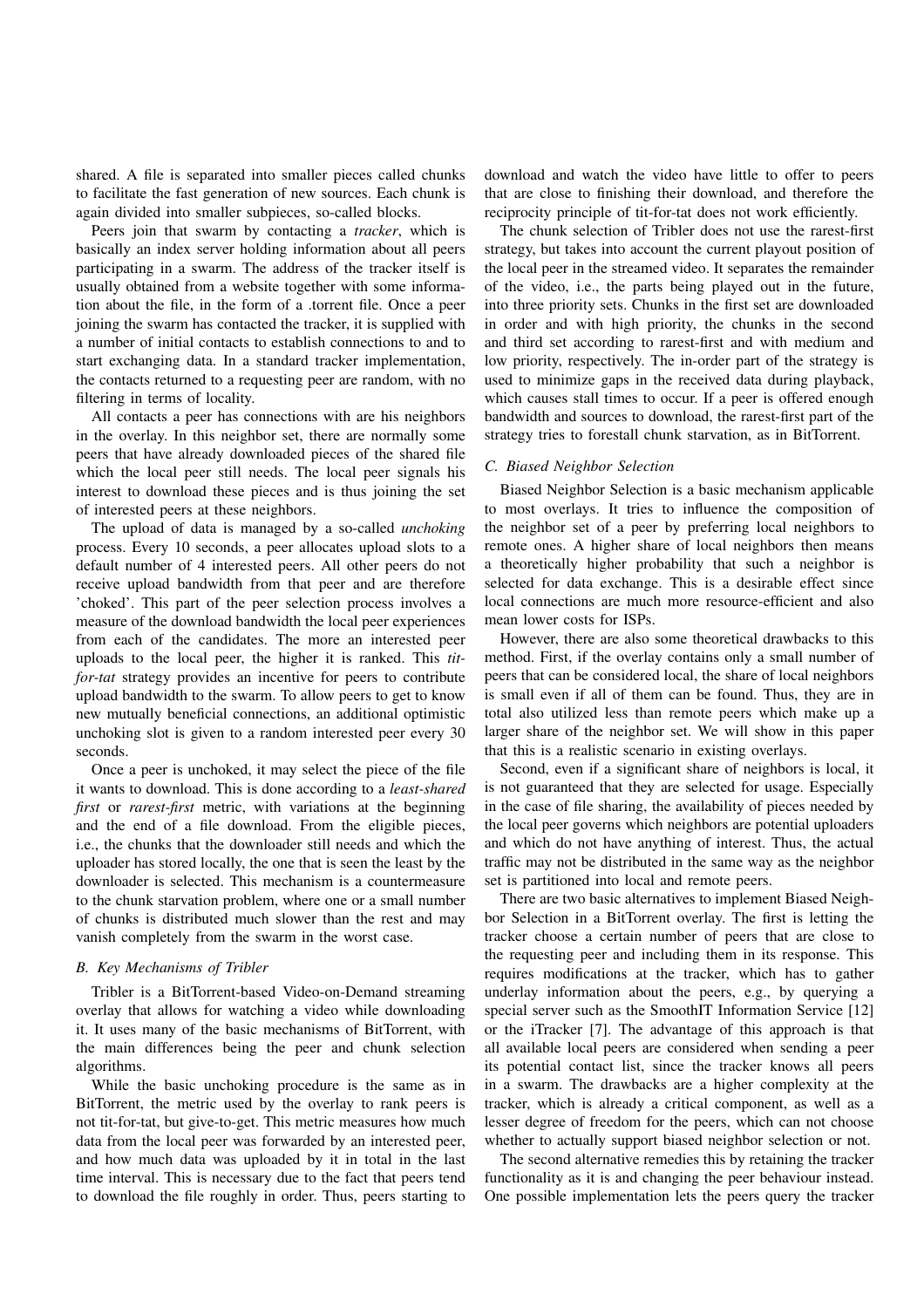shared. A file is separated into smaller pieces called chunks to facilitate the fast generation of new sources. Each chunk is again divided into smaller subpieces, so-called blocks.

Peers join that swarm by contacting a *tracker*, which is basically an index server holding information about all peers participating in a swarm. The address of the tracker itself is usually obtained from a website together with some information about the file, in the form of a .torrent file. Once a peer joining the swarm has contacted the tracker, it is supplied with a number of initial contacts to establish connections to and to start exchanging data. In a standard tracker implementation, the contacts returned to a requesting peer are random, with no filtering in terms of locality.

All contacts a peer has connections with are his neighbors in the overlay. In this neighbor set, there are normally some peers that have already downloaded pieces of the shared file which the local peer still needs. The local peer signals his interest to download these pieces and is thus joining the set of interested peers at these neighbors.

The upload of data is managed by a so-called *unchoking* process. Every 10 seconds, a peer allocates upload slots to a default number of 4 interested peers. All other peers do not receive upload bandwidth from that peer and are therefore 'choked'. This part of the peer selection process involves a measure of the download bandwidth the local peer experiences from each of the candidates. The more an interested peer uploads to the local peer, the higher it is ranked. This *titfor-tat* strategy provides an incentive for peers to contribute upload bandwidth to the swarm. To allow peers to get to know new mutually beneficial connections, an additional optimistic unchoking slot is given to a random interested peer every 30 seconds.

Once a peer is unchoked, it may select the piece of the file it wants to download. This is done according to a *least-shared first* or *rarest-first* metric, with variations at the beginning and the end of a file download. From the eligible pieces, i.e., the chunks that the downloader still needs and which the uploader has stored locally, the one that is seen the least by the downloader is selected. This mechanism is a countermeasure to the chunk starvation problem, where one or a small number of chunks is distributed much slower than the rest and may vanish completely from the swarm in the worst case.

## *B. Key Mechanisms of Tribler*

Tribler is a BitTorrent-based Video-on-Demand streaming overlay that allows for watching a video while downloading it. It uses many of the basic mechanisms of BitTorrent, with the main differences being the peer and chunk selection algorithms.

While the basic unchoking procedure is the same as in BitTorrent, the metric used by the overlay to rank peers is not tit-for-tat, but give-to-get. This metric measures how much data from the local peer was forwarded by an interested peer, and how much data was uploaded by it in total in the last time interval. This is necessary due to the fact that peers tend to download the file roughly in order. Thus, peers starting to

download and watch the video have little to offer to peers that are close to finishing their download, and therefore the reciprocity principle of tit-for-tat does not work efficiently.

The chunk selection of Tribler does not use the rarest-first strategy, but takes into account the current playout position of the local peer in the streamed video. It separates the remainder of the video, i.e., the parts being played out in the future, into three priority sets. Chunks in the first set are downloaded in order and with high priority, the chunks in the second and third set according to rarest-first and with medium and low priority, respectively. The in-order part of the strategy is used to minimize gaps in the received data during playback, which causes stall times to occur. If a peer is offered enough bandwidth and sources to download, the rarest-first part of the strategy tries to forestall chunk starvation, as in BitTorrent.

#### *C. Biased Neighbor Selection*

Biased Neighbor Selection is a basic mechanism applicable to most overlays. It tries to influence the composition of the neighbor set of a peer by preferring local neighbors to remote ones. A higher share of local neighbors then means a theoretically higher probability that such a neighbor is selected for data exchange. This is a desirable effect since local connections are much more resource-efficient and also mean lower costs for ISPs.

However, there are also some theoretical drawbacks to this method. First, if the overlay contains only a small number of peers that can be considered local, the share of local neighbors is small even if all of them can be found. Thus, they are in total also utilized less than remote peers which make up a larger share of the neighbor set. We will show in this paper that this is a realistic scenario in existing overlays.

Second, even if a significant share of neighbors is local, it is not guaranteed that they are selected for usage. Especially in the case of file sharing, the availability of pieces needed by the local peer governs which neighbors are potential uploaders and which do not have anything of interest. Thus, the actual traffic may not be distributed in the same way as the neighbor set is partitioned into local and remote peers.

There are two basic alternatives to implement Biased Neighbor Selection in a BitTorrent overlay. The first is letting the tracker choose a certain number of peers that are close to the requesting peer and including them in its response. This requires modifications at the tracker, which has to gather underlay information about the peers, e.g., by querying a special server such as the SmoothIT Information Service [12] or the iTracker [7]. The advantage of this approach is that all available local peers are considered when sending a peer its potential contact list, since the tracker knows all peers in a swarm. The drawbacks are a higher complexity at the tracker, which is already a critical component, as well as a lesser degree of freedom for the peers, which can not choose whether to actually support biased neighbor selection or not.

The second alternative remedies this by retaining the tracker functionality as it is and changing the peer behaviour instead. One possible implementation lets the peers query the tracker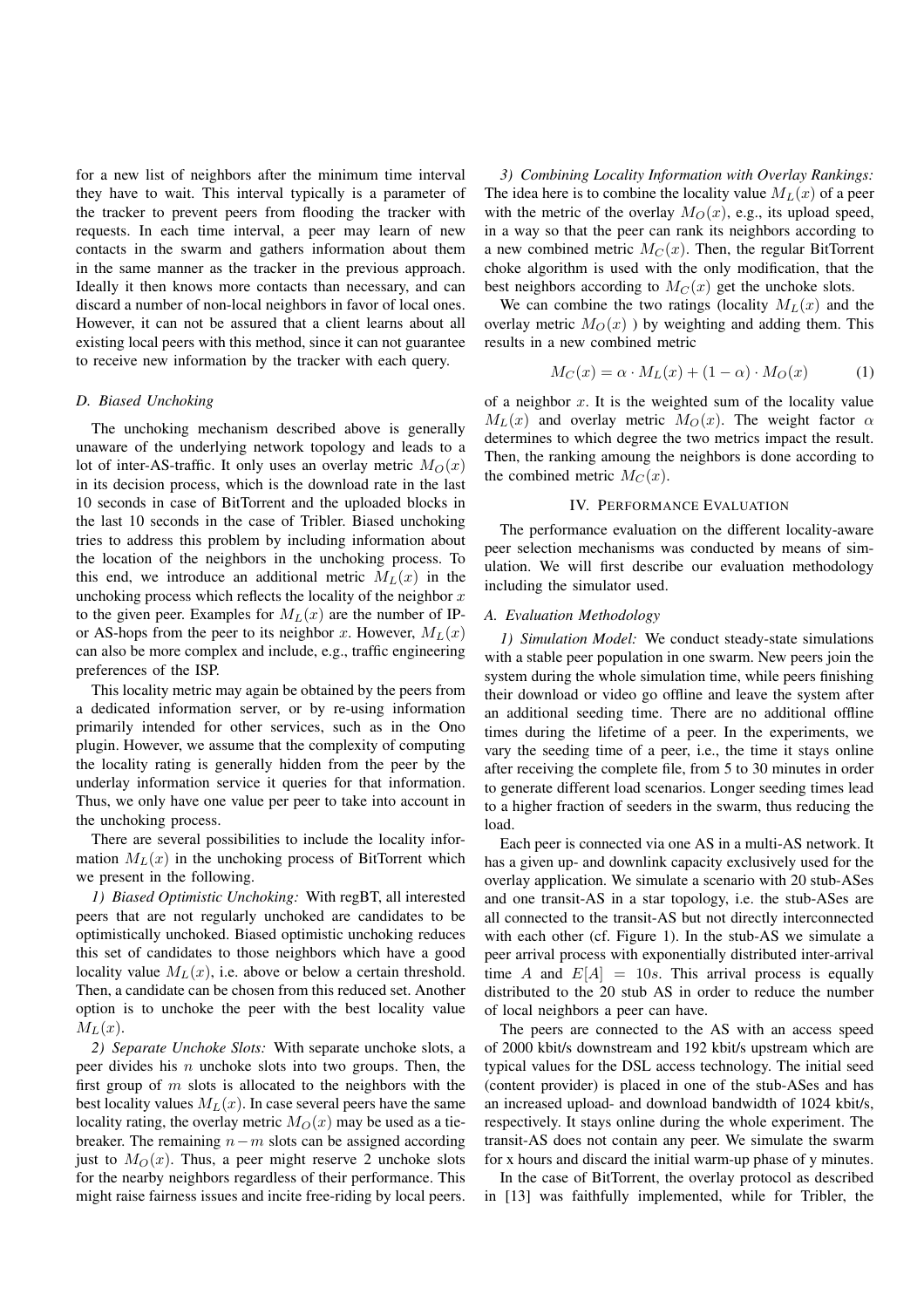for a new list of neighbors after the minimum time interval they have to wait. This interval typically is a parameter of the tracker to prevent peers from flooding the tracker with requests. In each time interval, a peer may learn of new contacts in the swarm and gathers information about them in the same manner as the tracker in the previous approach. Ideally it then knows more contacts than necessary, and can discard a number of non-local neighbors in favor of local ones. However, it can not be assured that a client learns about all existing local peers with this method, since it can not guarantee to receive new information by the tracker with each query.

### *D. Biased Unchoking*

The unchoking mechanism described above is generally unaware of the underlying network topology and leads to a lot of inter-AS-traffic. It only uses an overlay metric  $M_O(x)$ in its decision process, which is the download rate in the last 10 seconds in case of BitTorrent and the uploaded blocks in the last 10 seconds in the case of Tribler. Biased unchoking tries to address this problem by including information about the location of the neighbors in the unchoking process. To this end, we introduce an additional metric  $M_L(x)$  in the unchoking process which reflects the locality of the neighbor  $x$ to the given peer. Examples for  $M_L(x)$  are the number of IPor AS-hops from the peer to its neighbor x. However,  $M_L(x)$ can also be more complex and include, e.g., traffic engineering preferences of the ISP.

This locality metric may again be obtained by the peers from a dedicated information server, or by re-using information primarily intended for other services, such as in the Ono plugin. However, we assume that the complexity of computing the locality rating is generally hidden from the peer by the underlay information service it queries for that information. Thus, we only have one value per peer to take into account in the unchoking process.

There are several possibilities to include the locality information  $M_L(x)$  in the unchoking process of BitTorrent which we present in the following.

*1) Biased Optimistic Unchoking:* With regBT, all interested peers that are not regularly unchoked are candidates to be optimistically unchoked. Biased optimistic unchoking reduces this set of candidates to those neighbors which have a good locality value  $M_L(x)$ , i.e. above or below a certain threshold. Then, a candidate can be chosen from this reduced set. Another option is to unchoke the peer with the best locality value  $M_L(x)$ .

*2) Separate Unchoke Slots:* With separate unchoke slots, a peer divides his  $n$  unchoke slots into two groups. Then, the first group of  $m$  slots is allocated to the neighbors with the best locality values  $M_L(x)$ . In case several peers have the same locality rating, the overlay metric  $M_O(x)$  may be used as a tiebreaker. The remaining  $n-m$  slots can be assigned according just to  $M<sub>O</sub>(x)$ . Thus, a peer might reserve 2 unchoke slots for the nearby neighbors regardless of their performance. This might raise fairness issues and incite free-riding by local peers.

*3) Combining Locality Information with Overlay Rankings:* The idea here is to combine the locality value  $M_L(x)$  of a peer with the metric of the overlay  $M_O(x)$ , e.g., its upload speed, in a way so that the peer can rank its neighbors according to a new combined metric  $M_C(x)$ . Then, the regular BitTorrent choke algorithm is used with the only modification, that the best neighbors according to  $M_C(x)$  get the unchoke slots.

We can combine the two ratings (locality  $M_L(x)$  and the overlay metric  $M_O(x)$ ) by weighting and adding them. This results in a new combined metric

$$
M_C(x) = \alpha \cdot M_L(x) + (1 - \alpha) \cdot M_O(x) \tag{1}
$$

of a neighbor  $x$ . It is the weighted sum of the locality value  $M_L(x)$  and overlay metric  $M_O(x)$ . The weight factor  $\alpha$ determines to which degree the two metrics impact the result. Then, the ranking amoung the neighbors is done according to the combined metric  $M_C(x)$ .

#### IV. PERFORMANCE EVALUATION

The performance evaluation on the different locality-aware peer selection mechanisms was conducted by means of simulation. We will first describe our evaluation methodology including the simulator used.

#### *A. Evaluation Methodology*

*1) Simulation Model:* We conduct steady-state simulations with a stable peer population in one swarm. New peers join the system during the whole simulation time, while peers finishing their download or video go offline and leave the system after an additional seeding time. There are no additional offline times during the lifetime of a peer. In the experiments, we vary the seeding time of a peer, i.e., the time it stays online after receiving the complete file, from 5 to 30 minutes in order to generate different load scenarios. Longer seeding times lead to a higher fraction of seeders in the swarm, thus reducing the load.

Each peer is connected via one AS in a multi-AS network. It has a given up- and downlink capacity exclusively used for the overlay application. We simulate a scenario with 20 stub-ASes and one transit-AS in a star topology, i.e. the stub-ASes are all connected to the transit-AS but not directly interconnected with each other (cf. Figure 1). In the stub-AS we simulate a peer arrival process with exponentially distributed inter-arrival time A and  $E[A] = 10s$ . This arrival process is equally distributed to the 20 stub AS in order to reduce the number of local neighbors a peer can have.

The peers are connected to the AS with an access speed of 2000 kbit/s downstream and 192 kbit/s upstream which are typical values for the DSL access technology. The initial seed (content provider) is placed in one of the stub-ASes and has an increased upload- and download bandwidth of 1024 kbit/s, respectively. It stays online during the whole experiment. The transit-AS does not contain any peer. We simulate the swarm for x hours and discard the initial warm-up phase of y minutes.

In the case of BitTorrent, the overlay protocol as described in [13] was faithfully implemented, while for Tribler, the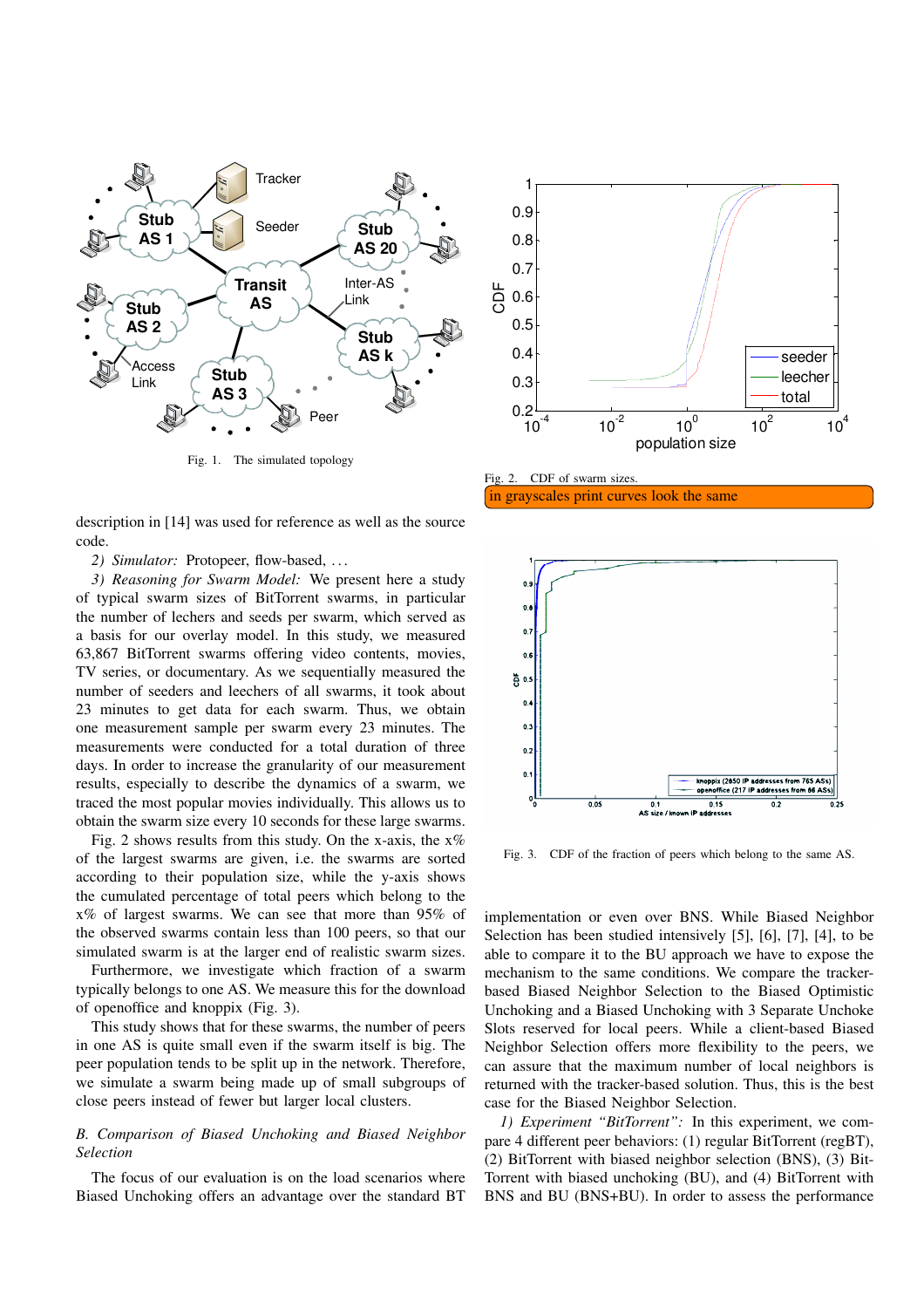

Fig. 1. The simulated topology

description in [14] was used for reference as well as the source code.

*2) Simulator:* Protopeer, flow-based, . . .

*3) Reasoning for Swarm Model:* We present here a study of typical swarm sizes of BitTorrent swarms, in particular the number of lechers and seeds per swarm, which served as a basis for our overlay model. In this study, we measured 63,867 BitTorrent swarms offering video contents, movies, TV series, or documentary. As we sequentially measured the number of seeders and leechers of all swarms, it took about 23 minutes to get data for each swarm. Thus, we obtain one measurement sample per swarm every 23 minutes. The measurements were conducted for a total duration of three days. In order to increase the granularity of our measurement results, especially to describe the dynamics of a swarm, we traced the most popular movies individually. This allows us to obtain the swarm size every 10 seconds for these large swarms.

Fig. 2 shows results from this study. On the x-axis, the  $x\%$ of the largest swarms are given, i.e. the swarms are sorted according to their population size, while the y-axis shows the cumulated percentage of total peers which belong to the x% of largest swarms. We can see that more than 95% of the observed swarms contain less than 100 peers, so that our simulated swarm is at the larger end of realistic swarm sizes.

Furthermore, we investigate which fraction of a swarm typically belongs to one AS. We measure this for the download of openoffice and knoppix (Fig. 3).

This study shows that for these swarms, the number of peers in one AS is quite small even if the swarm itself is big. The peer population tends to be split up in the network. Therefore, we simulate a swarm being made up of small subgroups of close peers instead of fewer but larger local clusters.

## *B. Comparison of Biased Unchoking and Biased Neighbor Selection*

The focus of our evaluation is on the load scenarios where Biased Unchoking offers an advantage over the standard BT



Fig. 2. CDF of swarm sizes. in grayscales print curves look the same



Fig. 3. CDF of the fraction of peers which belong to the same AS.

implementation or even over BNS. While Biased Neighbor Selection has been studied intensively [5], [6], [7], [4], to be able to compare it to the BU approach we have to expose the mechanism to the same conditions. We compare the trackerbased Biased Neighbor Selection to the Biased Optimistic Unchoking and a Biased Unchoking with 3 Separate Unchoke Slots reserved for local peers. While a client-based Biased Neighbor Selection offers more flexibility to the peers, we can assure that the maximum number of local neighbors is returned with the tracker-based solution. Thus, this is the best case for the Biased Neighbor Selection.

*1) Experiment "BitTorrent":* In this experiment, we compare 4 different peer behaviors: (1) regular BitTorrent (regBT), (2) BitTorrent with biased neighbor selection (BNS), (3) Bit-Torrent with biased unchoking (BU), and (4) BitTorrent with BNS and BU (BNS+BU). In order to assess the performance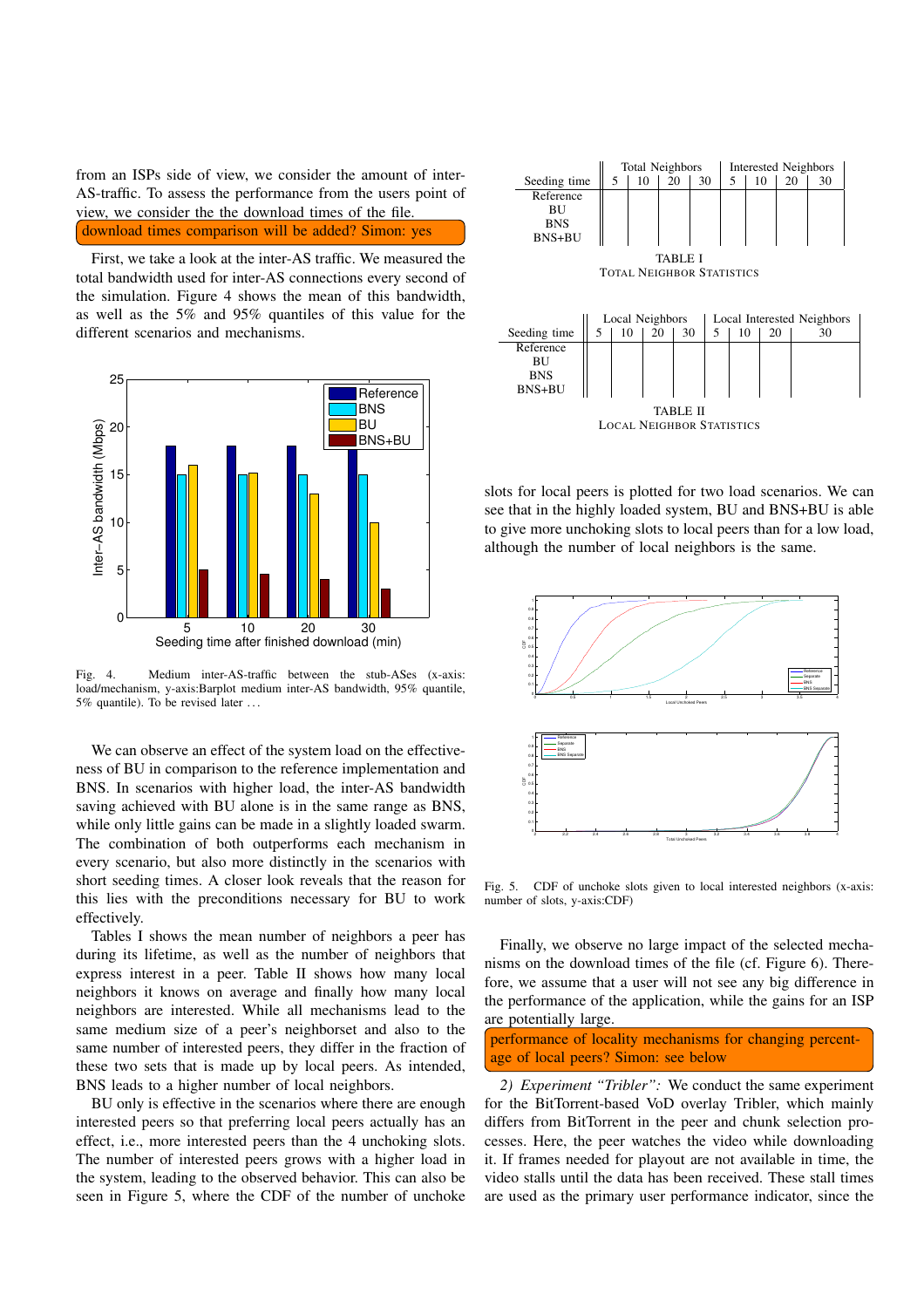from an ISPs side of view, we consider the amount of inter-AS-traffic. To assess the performance from the users point of view, we consider the the download times of the file. download times comparison will be added? Simon: yes

First, we take a look at the inter-AS traffic. We measured the total bandwidth used for inter-AS connections every second of the simulation. Figure 4 shows the mean of this bandwidth, as well as the 5% and 95% quantiles of this value for the different scenarios and mechanisms.



Fig. 4. Medium inter-AS-traffic between the stub-ASes (x-axis: load/mechanism, y-axis:Barplot medium inter-AS bandwidth, 95% quantile, 5% quantile). To be revised later . . .

We can observe an effect of the system load on the effectiveness of BU in comparison to the reference implementation and BNS. In scenarios with higher load, the inter-AS bandwidth saving achieved with BU alone is in the same range as BNS, while only little gains can be made in a slightly loaded swarm. The combination of both outperforms each mechanism in every scenario, but also more distinctly in the scenarios with short seeding times. A closer look reveals that the reason for this lies with the preconditions necessary for BU to work effectively.

Tables I shows the mean number of neighbors a peer has during its lifetime, as well as the number of neighbors that express interest in a peer. Table II shows how many local neighbors it knows on average and finally how many local neighbors are interested. While all mechanisms lead to the same medium size of a peer's neighborset and also to the same number of interested peers, they differ in the fraction of these two sets that is made up by local peers. As intended, BNS leads to a higher number of local neighbors.

BU only is effective in the scenarios where there are enough interested peers so that preferring local peers actually has an effect, i.e., more interested peers than the 4 unchoking slots. The number of interested peers grows with a higher load in the system, leading to the observed behavior. This can also be seen in Figure 5, where the CDF of the number of unchoke



LOCAL NEIGHBOR STATISTICS

slots for local peers is plotted for two load scenarios. We can see that in the highly loaded system, BU and BNS+BU is able to give more unchoking slots to local peers than for a low load, although the number of local neighbors is the same.



Fig. 5. CDF of unchoke slots given to local interested neighbors (x-axis: number of slots, y-axis:CDF)

Finally, we observe no large impact of the selected mechanisms on the download times of the file (cf. Figure 6). Therefore, we assume that a user will not see any big difference in the performance of the application, while the gains for an ISP are potentially large.

performance of locality mechanisms for changing percentage of local peers? Simon: see below

*2) Experiment "Tribler":* We conduct the same experiment for the BitTorrent-based VoD overlay Tribler, which mainly differs from BitTorrent in the peer and chunk selection processes. Here, the peer watches the video while downloading it. If frames needed for playout are not available in time, the video stalls until the data has been received. These stall times are used as the primary user performance indicator, since the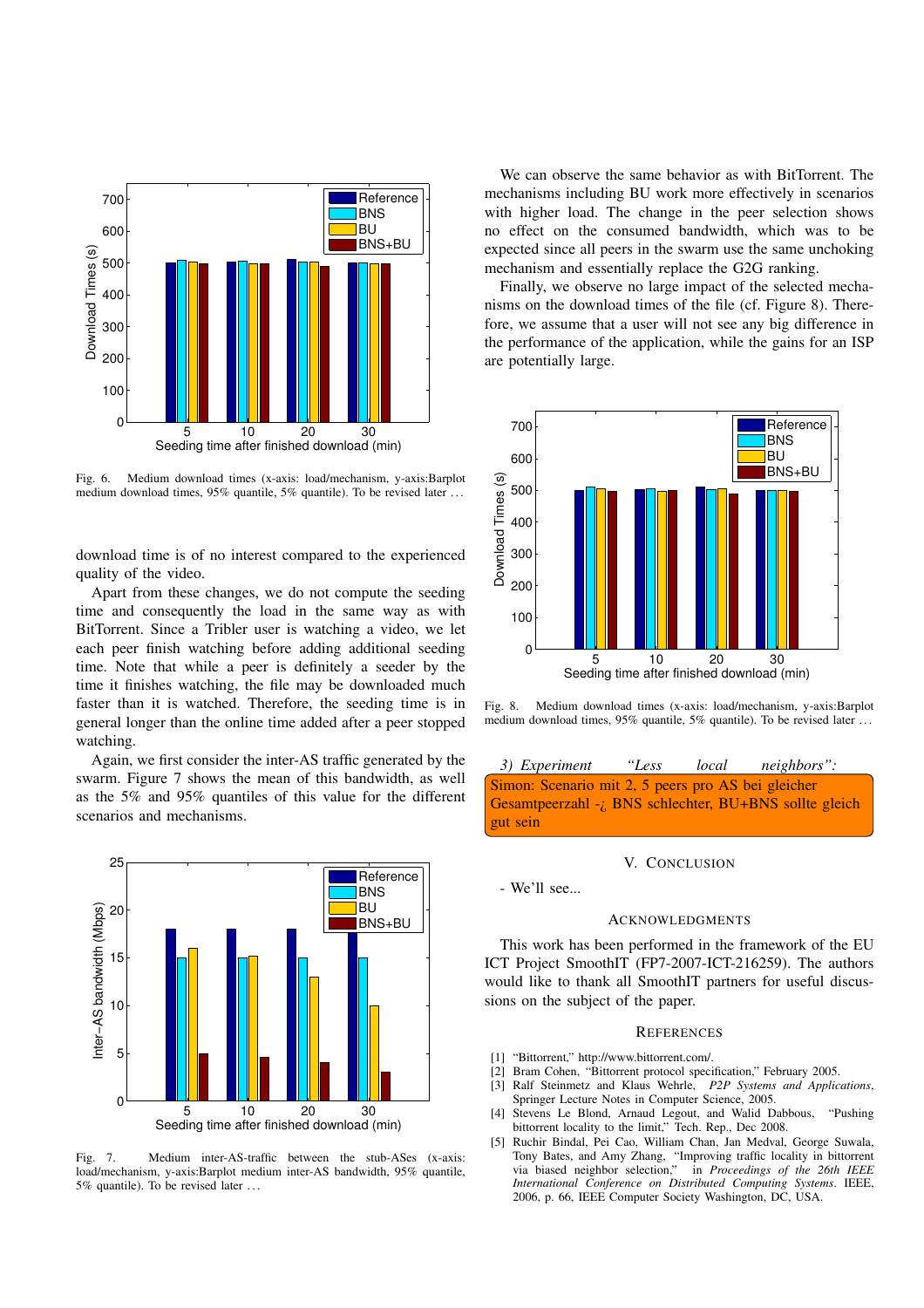

Fig. 6. Medium download times (x-axis: load/mechanism, y-axis:Barplot medium download times, 95% quantile, 5% quantile). To be revised later . . .

download time is of no interest compared to the experienced quality of the video.

Apart from these changes, we do not compute the seeding time and consequently the load in the same way as with BitTorrent. Since a Tribler user is watching a video, we let each peer finish watching before adding additional seeding time. Note that while a peer is definitely a seeder by the time it finishes watching, the file may be downloaded much faster than it is watched. Therefore, the seeding time is in general longer than the online time added after a peer stopped watching.

Again, we first consider the inter-AS traffic generated by the swarm. Figure 7 shows the mean of this bandwidth, as well as the 5% and 95% quantiles of this value for the different scenarios and mechanisms.



Fig. 7. Medium inter-AS-traffic between the stub-ASes (x-axis: load/mechanism, y-axis:Barplot medium inter-AS bandwidth, 95% quantile, 5% quantile). To be revised later . . .

We can observe the same behavior as with BitTorrent. The mechanisms including BU work more effectively in scenarios with higher load. The change in the peer selection shows no effect on the consumed bandwidth, which was to be expected since all peers in the swarm use the same unchoking mechanism and essentially replace the G2G ranking.

Finally, we observe no large impact of the selected mechanisms on the download times of the file (cf. Figure 8). Therefore, we assume that a user will not see any big difference in the performance of the application, while the gains for an ISP are potentially large.



Fig. 8. Medium download times (x-axis: load/mechanism, y-axis:Barplot medium download times, 95% quantile, 5% quantile). To be revised later . . .

*3) Experiment "Less local neighbors":* Simon: Scenario mit 2, 5 peers pro AS bei gleicher Gesamtpeerzahl -¿ BNS schlechter, BU+BNS sollte gleich gut sein

#### V. CONCLUSION

- We'll see...

## ACKNOWLEDGMENTS

This work has been performed in the framework of the EU ICT Project SmoothIT (FP7-2007-ICT-216259). The authors would like to thank all SmoothIT partners for useful discussions on the subject of the paper.

#### **REFERENCES**

- [1] "Bittorrent," http://www.bittorrent.com/.
- [2] Bram Cohen, "Bittorrent protocol specification," February 2005.
- [3] Ralf Steinmetz and Klaus Wehrle, *P2P Systems and Applications*, Springer Lecture Notes in Computer Science, 2005.
- [4] Stevens Le Blond, Arnaud Legout, and Walid Dabbous, "Pushing bittorrent locality to the limit," Tech. Rep., Dec 2008.
- [5] Ruchir Bindal, Pei Cao, William Chan, Jan Medval, George Suwala, Tony Bates, and Amy Zhang, "Improving traffic locality in bittorrent via biased neighbor selection," in *Proceedings of the 26th IEEE International Conference on Distributed Computing Systems*. IEEE, 2006, p. 66, IEEE Computer Society Washington, DC, USA.